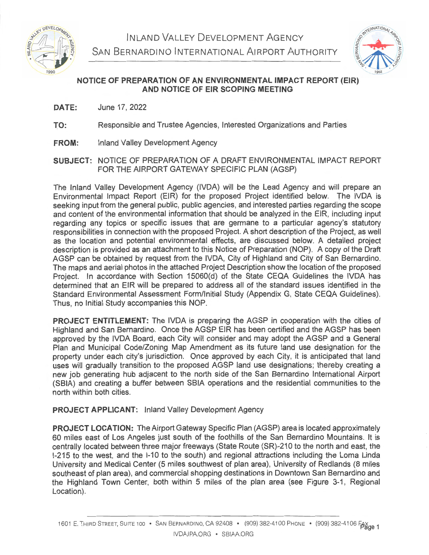

INLAND VALLEY DEVELOPMENT AGENCY SAN BERNARDINO INTERNATIONAL AIRPORT AUTHORITY



## **NOTICE OF PREPARATION OF AN ENVIRONMENTAL IMPACT REPORT (EIR) AND NOTICE OF EIR SCOPING MEETING**

- **DATE:**  June 17, 2022
- **TO:**  Responsible and Trustee Agencies, Interested Organizations and Parties
- **FROM:** Inland Valley Development Agency
- **SUBJECT:** NOTICE OF PREPARATION OF A DRAFT ENVIRONMENTAL IMPACT REPORT FOR THE AIRPORT GATEWAY SPECIFIC PLAN (AGSP)

The Inland Valley Development Agency (IVDA) will be the Lead Agency and will prepare an Environmental Impact Report (EIR) for the proposed Project identified below. The IVDA is seeking input from the general public, public agencies, and interested parties regarding the scope and content of the environmental information that should be analyzed in the EIR, including input regarding any topics or specific issues that are germane to a particular agency's statutory responsibilities in connection with the proposed Project. A short description of the Project, as well as the location and potential environmental effects, are discussed below. A detailed project description is provided as an attachment to this Notice of Preparation (NOP). A copy of the Draft AGSP can be obtained by request from the IVDA, City of Highland and City of San Bernardino. The maps and aerial photos in the attached Project Description show the location of the proposed Project. In accordance with Section 15060(d) of the State CEQA Guidelines the IVDA has determined that an EIR will be prepared to address all of the standard issues identified in the Standard Environmental Assessment Form/Initial Study (Appendix G, State CEQA Guidelines). Thus, no Initial Study accompanies this NOP.

**PROJECT ENTITLEMENT:** The IVDA is preparing the AGSP in cooperation with the cities of Highland and San Bernardino. Once the AGSP EIR has been certified and the AGSP has been approved by the IVDA Board, each City will consider and may adopt the AGSP and a General Plan and Municipal Code/Zoning Map Amendment as its future land use designation for the property under each city's jurisdiction. Once approved by each City, it is anticipated that land uses will gradually transition to the proposed AGSP land use designations; thereby creating a new job generating hub adjacent to the north side of the San Bernardino International Airport (SBIA) and creating a buffer between SBIA operations and the residential communities to the north within both cities.

## **PROJECT APPLICANT:** Inland Valley Development Agency

**PROJECT LOCATION:** The Airport Gateway Specific Plan (AGSP) area is located approximately 60 miles east of Los Angeles just south of the foothills of the San Bernardino Mountains. It is centrally located between three major freeways (State Route (SR)-210 to the north and east, the 1-215 to the west, and the 1-10 to the south) and regional attractions including the Loma Linda University and Medical Center (5 miles southwest of plan area), University of Redlands (8 miles southeast of plan area), and commercial shopping destinations in Downtown San Bernardino and the Highland Town Center, both within 5 miles of the plan area (see Figure 3-1, Regional Location).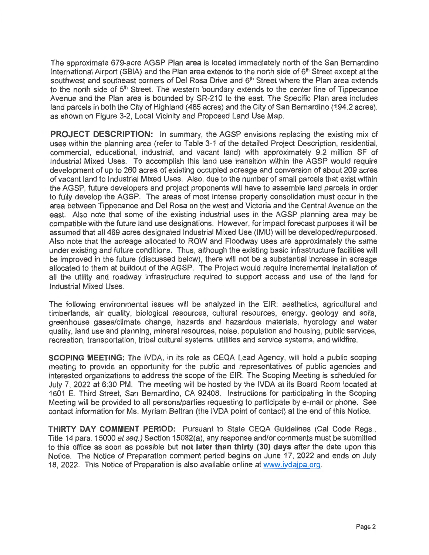The approximate 679-acre AGSP Plan area is located immediately north of the San Bernardino International Airport (SBIA) and the Plan area extends to the north side of 6<sup>th</sup> Street except at the southwest and southeast corners of Del Rosa Drive and 6<sup>th</sup> Street where the Plan area extends to the north side of 5<sup>th</sup> Street. The western boundary extends to the center line of Tippecanoe Avenue and the Plan area is bounded by SR-210 to the east. The Specific Plan area includes land parcels in both the City of Highland (485 acres) and the City of San Bernardino (194.2 acres), as shown on Figure 3-2, Local Vicinity and Proposed Land Use Map.

**PROJECT DESCRIPTION:** In summary, the AGSP envisions replacing the existing mix of uses within the planning area (refer to Table 3-1 of the detailed Project Description, residential, commercial, educational, industrial, and vacant land) with approximately 9.2 million SF of Industrial Mixed Uses. To accomplish this land use transition within the AGSP would require development of up to 260 acres of existing occupied acreage and conversion of about 209 acres of vacant land to Industrial Mixed Uses. Also, due to the number of small parcels that exist within the AGSP, future developers and project proponents will have to assemble land parcels in order to fully develop the AGSP. The areas of most intense property consolidation must occur in the area between Tippecanoe and Del Rosa on the west and Victoria and the Central Avenue on the east. Also note that some of the existing industrial uses in the AGSP planning area may be compatible with the future land use designations. However, for impact forecast purposes it will be assumed that all 469 acres designated Industrial Mixed Use (IMU) will be developed/repurposed. Also note that the acreage allocated to ROW and Floodway uses are approximately the same under existing and future conditions. Thus, although the existing basic infrastructure facilities will be improved in the future (discussed below), there will not be a substantial increase in acreage allocated to them at buildout of the AGSP. The Project would require incremental installation of all the utility and roadway infrastructure required to support access and use of the land for Industrial Mixed Uses.

The following environmental issues will be analyzed in the EIR: aesthetics, agricultural and timberlands, air quality, biological resources, cultural resources, energy, geology and soils, greenhouse gases/climate change, hazards and hazardous materials, hydrology and water quality, land use and planning, mineral resources, noise, population and housing, public services, recreation, transportation, tribal cultural systems, utilities and service systems, and wildfire.

**SCOPING MEETING:** The IVDA, in its role as CEQA Lead Agency, will hold a public scoping meeting to provide an opportunity for the public and representatives of public agencies and interested organizations to address the scope of the EIR. The Scoping Meeting is scheduled for July 7, 2022 at 6:30 PM. The meeting will be hosted by the IVDA at its Board Room located at 1601 E. Third Street, San Bernardino, CA 92408. Instructions for participating in the Scoping Meeting will be provided to all persons/parties requesting to participate by e-mail or phone. See contact information for Ms. Myriam Beltran (the IVDA point of contact) at the end of this Notice.

**THIRTY DAY COMMENT PERIOD:** Pursuant to State CEQA Guidelines (Cal Code Regs., Title 14 para. 15000 et seq.) Section 15082(a), any response and/or comments must be submitted to this office as soon as possible but **not later than thirty (30) days** after the date upon this Notice. The Notice of Preparation comment period begins on June 17, 2022 and ends on July 18, 2022. This Notice of Preparation is also available online at www.ivdajpa.org.